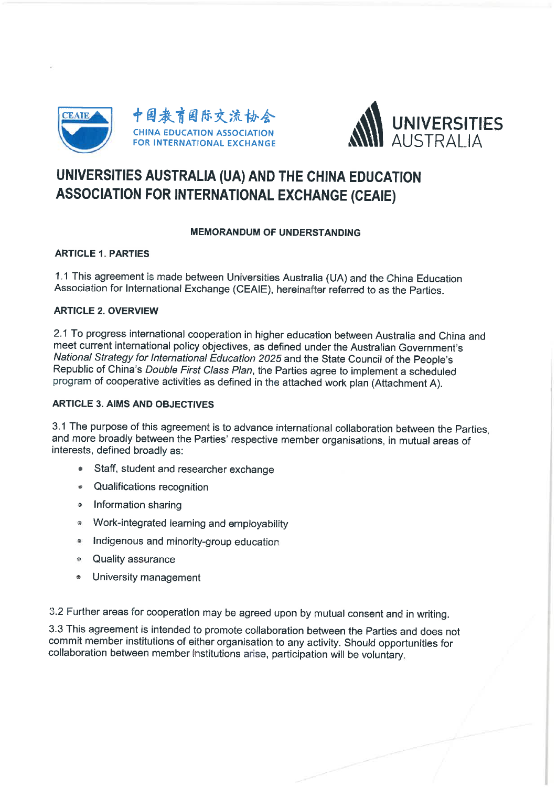



# UNIVERSITIES AUSTRALIA (UA) AND THE CHINA EDUCATION ASSOCIATION FOR INTERNATIONAL EXCHANGE (CEAIE)

# MEMORANDUM OF UNDERSTANDING

# **ARTICLE 1. PARTIES**

1. 1 This agreement is made between Universities Australia (UA) and the China Education Association for International Exchange (CEAIE), hereinafter referred to as the Parties.

# ARTICLE 2. OVERVIEW

2. 1 To progress international cooperation in higher education between Australia and China and meet current international policy objectives, as defined under the Australian Government's National Strategy for International Education 2025 and the State Council of the People's Republic of China's Double First Class Plan, the Parties agree to implement a scheduled program of cooperative activities as defined in the attached work plan (Attachment A).

## ARTICLE 3. AIMS AND OBJECTIVES

3. 1 The purpose of this agreement is to advance international collaboration between the Parties and more broadly between the Parties' respective member organisations, in mutual areas of interests, defined broadly as:

- . Staff, student and researcher exchange
- Qualifications recognition
- Information sharing
- Work-integrated learning and employability
- $\bullet$  Indigenous and minority-group education
- Quality assurance
- » University management

3. 2 Further areas for cooperation may be agreed upon by mutual consent and in writing.

3.3 This agreement is intended to promote collaboration between the Parties and does not commit member institutions of either organisation to any activity. Should opportunities for collaboration between member institutions arise, participation will be voluntary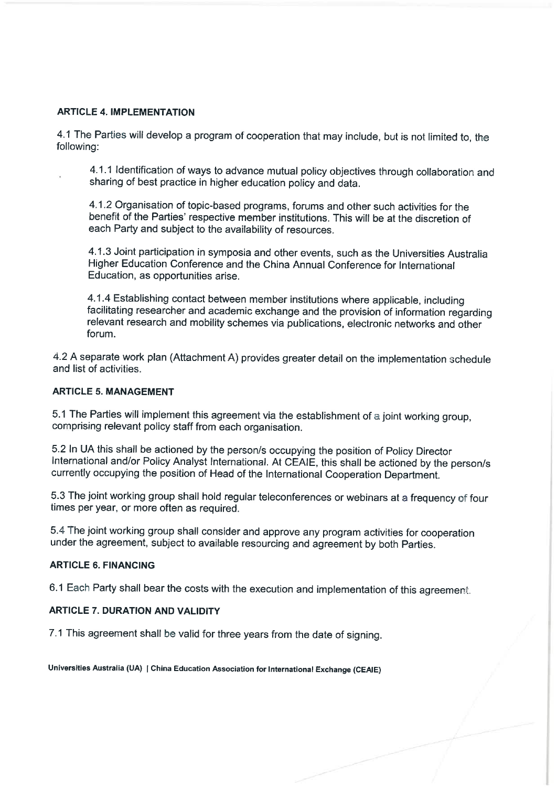## ARTICLE 4. IMPLEMENTATION

4. 1 The Parties will develop a program of cooperation that may include, but is not limited to, the following:

4. 1. 1 Identification of ways to advance mutual policy objectives through collaboration and sharing of best practice in higher education policy and data.

4.1.2 Organisation of topic-based programs, forums and other such activities for the benefit of the Parties' respective member institutions. This will be at the discretion of each Party and subject to the availability of resources.

4. 1. 3 Joint participation in symposia and other events, such as the Universities Australia Higher Education Conference and the China Annual Conference for International Education, as opportunities arise.

4. 1 4 Establishing contact between member institutions where applicable, including facilitating researcher and academic exchange and the provision of information regarding relevant research and mobility schemes via publications, electronic networks and other forum.

4. 2 A separate work plan (Attachment A) provides greater detail on the implementation schedule and list of activities.

## ARTICLE 5. MANAGEMENT

5. 1 The Parties will implement this agreement via the establishment of a joint working group, comprising relevant policy staff from each organisation.

5. 2 In UA this shall be actioned by the person/s occupying the position of Policy Director International and/or Policy Analyst International. At CEAIE, this shall be actioned by the person/s currently occupying the position of Head of the International Cooperation Department.

5. 3 The joint working group shall hold regular teleconferences or webinars at a frequency of four times per year, or more often as required.

5. 4 The joint working group shall consider and approve any program activities for cooperation under the agreement, subject to available resourcing and agreement by both Parties.

#### ARTICLE 6. FINANCING

6.1 Each Party shall bear the costs with the execution and implementation of this agreement.

# ARTICLE 7. DURATION AND VALIDITY

7. 1 This agreement shall be valid for three years from the date of signing.

Universities Australia (UA) | China Education Association for International Exchange (CEAIE)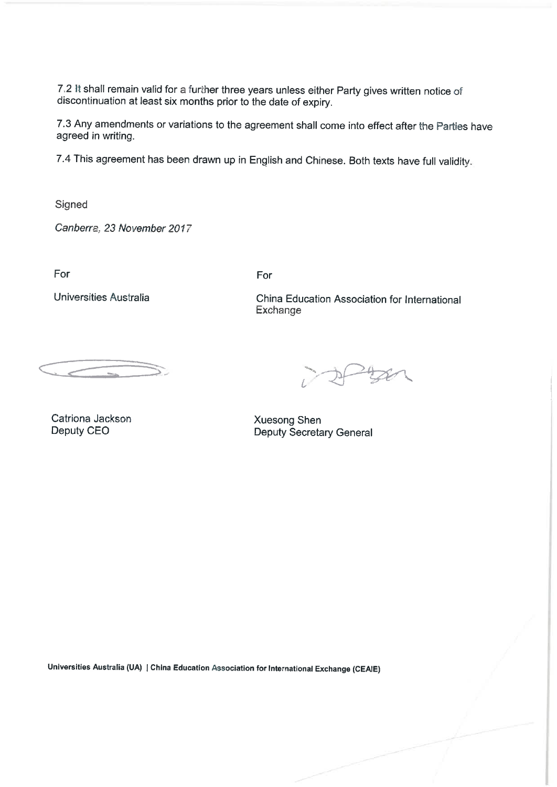7.2 It shall remain valid for a further three years unless either Party gives written notice of discontinuation at least six months prior to the date of expiry.

7. 3 Any amendments or variations to the agreement shall come into effect after the Parties have agreed in writing.

7.4 This agreement has been drawn up in English and Chinese. Both texts have full validity.

Signed

Canberra, 23 November 2017

For

Universities Australia

For

China Education Association for International Exchange

Catriona Jackson Deputy CEO

 $-$ tzen

Xuesong Shen Deputy Secretary General

Universities Australia (UA) | China Education Association for International Exchange (CEA1E)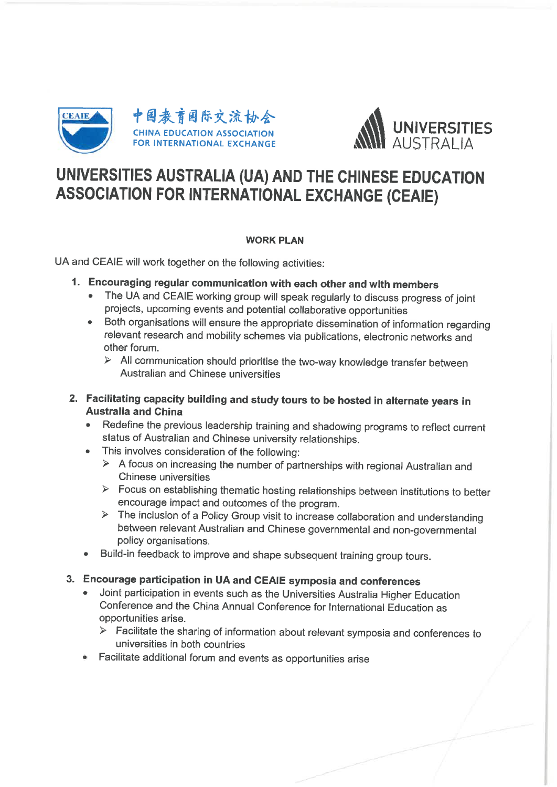



# UNIVERSITIES AUSTRALIA (UA) AND THE CHINESE EDUCATION ASSOCIATION FOR INTERNATIONAL EXCHANGE (CEAIE)

# WORK PLAN

UA and CEAIE will work together on the following activities:

- 1. Encouraging regular communication with each other and with members
	- . The UA and CEAIE working group will speak regularly to discuss progress of joint projects, upcoming events and potential collaborative opportunities
	- . Both organisations will ensure the appropriate dissemination of information regarding relevant research and mobility schemes via publications, electronic networks and other forum.
		- $\triangleright$  All communication should prioritise the two-way knowledge transfer between Australian and Chinese universities
- 2. Facilitating capacity building and study tours to be hosted in alternate years in Australia and China
	- . Redefine the previous leadership training and shadowing programs to reflect current status of Australian and Chinese university relationships.
	- . This involves consideration of the following:
		- $\triangleright$  A focus on increasing the number of partnerships with regional Australian and Chinese universities
		- $\triangleright$  Focus on establishing thematic hosting relationships between institutions to better encourage impact and outcomes of the program.
		- $\triangleright$  The inclusion of a Policy Group visit to increase collaboration and understanding between relevant Australian and Chinese governmental and non-governmental policy organisations.
	- . Build-in feedback to improve and shape subsequent training group tours.

# 3. Encourage participation in UA and CEAIE symposia and conferences

- . Joint participation in events such as the Universities Australia Higher Education Conference and the China Annual Conference for International Education as opportunities arise.
	- $\triangleright$  Facilitate the sharing of information about relevant symposia and conferences to universities in both countries
- Facilitate additional forum and events as opportunities arise